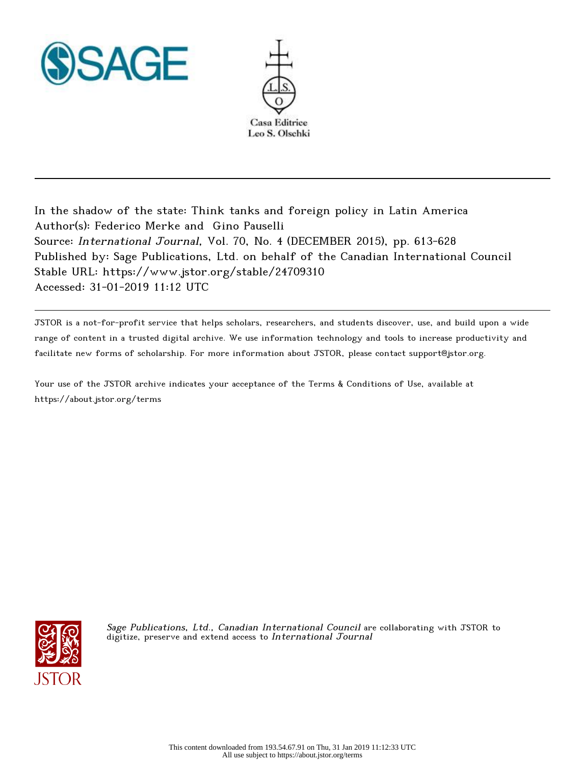



In the shadow of the state: Think tanks and foreign policy in Latin America Author(s): Federico Merke and Gino Pauselli Source: International Journal, Vol. 70, No. 4 (DECEMBER 2015), pp. 613-628 Published by: Sage Publications, Ltd. on behalf of the Canadian International Council Stable URL: https://www.jstor.org/stable/24709310 Accessed: 31-01-2019 11:12 UTC

JSTOR is a not-for-profit service that helps scholars, researchers, and students discover, use, and build upon a wide range of content in a trusted digital archive. We use information technology and tools to increase productivity and facilitate new forms of scholarship. For more information about JSTOR, please contact support@jstor.org.

Your use of the JSTOR archive indicates your acceptance of the Terms & Conditions of Use, available at https://about.jstor.org/terms



Sage Publications, Ltd., Canadian International Council are collaborating with JSTOR to digitize, preserve and extend access to International Journal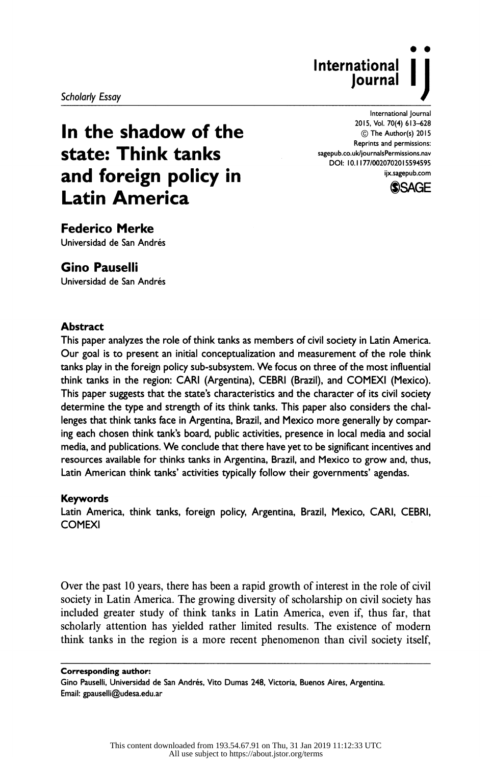

# In the shadow of the state: Think tanks and foreign policy in Latin America

 International Journal 2015, Vol. 70(4) 613-628 (c) The Author(s) 2015 Reprints and permissions: sagepub.co.uk/journalsPermissions.nav DO!: 10.1177/0020702015594595 ijx.sagepub.com



## Federico Merke

Universidad de San Andrés

# Gino Pauselli

Universidad de San Andrés

#### Abstract

 This paper analyzes the role of think tanks as members of civil society in Latin America. Our goal is to present an initial conceptualization and measurement of the role think tanks play in the foreign policy sub-subsystem. We focus on three of the most influential think tanks in the region: CARI (Argentina), CEBRI (Brazil), and COMEXI (Mexico). This paper suggests that the state's characteristics and the character of its civil society determine the type and strength of its think tanks. This paper also considers the chal lenges that think tanks face in Argentina, Brazil, and Mexico more generally by compar ing each chosen think tank's board, public activities, presence in local media and social media, and publications. We conclude that there have yet to be significant incentives and resources available for thinks tanks in Argentina, Brazil, and Mexico to grow and, thus, Latin American think tanks' activities typically follow their governments' agendas.

#### Keywords

 Latin America, think tanks, foreign policy, Argentina, Brazil, Mexico, CARI, CEBRI, **COMEXI** 

 Over the past 10 years, there has been a rapid growth of interest in the role of civil society in Latin America. The growing diversity of scholarship on civil society has included greater study of think tanks in Latin America, even if, thus far, that scholarly attention has yielded rather limited results. The existence of modern think tanks in the region is a more recent phenomenon than civil society itself,

 Corresponding author: Gino Pauselli, Universidad de San Andrés, Vito Dumas 248, Victoria, Buenos Aires, Argentina. Email: gpauselli@udesa.edu.ar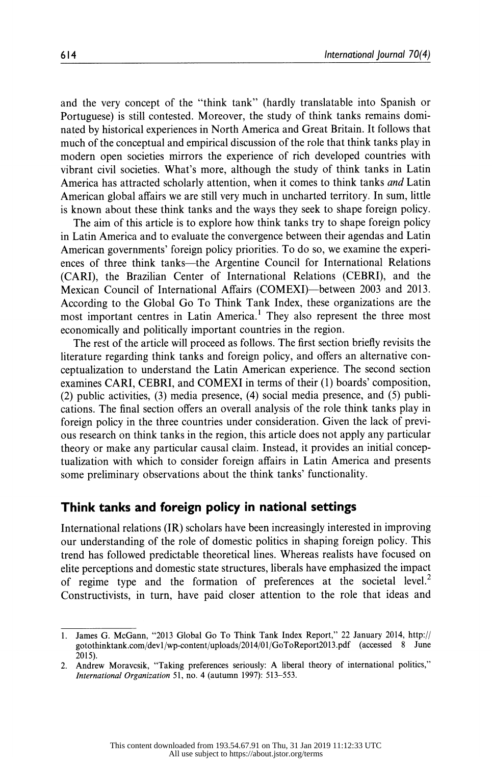and the very concept of the "think tank" (hardly translatable into Spanish or Portuguese) is still contested. Moreover, the study of think tanks remains domi nated by historical experiences in North America and Great Britain. It follows that much of the conceptual and empirical discussion of the role that think tanks play in modern open societies mirrors the experience of rich developed countries with vibrant civil societies. What's more, although the study of think tanks in Latin America has attracted scholarly attention, when it comes to think tanks *and* Latin American global affairs we are still very much in uncharted territory. In sum, little is known about these think tanks and the ways they seek to shape foreign policy.

 The aim of this article is to explore how think tanks try to shape foreign policy in Latin America and to evaluate the convergence between their agendas and Latin American governments' foreign policy priorities. To do so, we examine the experi ences of three think tanks—the Argentine Council for International Relations (CARI), the Brazilian Center of International Relations (CEBRI), and the Mexican Council of International Affairs (COMEXI)—between 2003 and 2013. According to the Global Go To Think Tank Index, these organizations are the most important centres in Latin America.<sup>1</sup> They also represent the three most economically and politically important countries in the region.

 The rest of the article will proceed as follows. The first section briefly revisits the literature regarding think tanks and foreign policy, and offers an alternative con ceptualization to understand the Latin American experience. The second section examines CARI, CEBRI, and COMEXI in terms of their (1) boards' composition, (2) public activities, (3) media presence, (4) social media presence, and (5) publi cations. The final section offers an overall analysis of the role think tanks play in foreign policy in the three countries under consideration. Given the lack of previ ous research on think tanks in the region, this article does not apply any particular theory or make any particular causal claim. Instead, it provides an initial concep tualization with which to consider foreign affairs in Latin America and presents some preliminary observations about the think tanks' functionality.

## Think tanks and foreign policy in national settings

 International relations (IR) scholars have been increasingly interested in improving our understanding of the role of domestic politics in shaping foreign policy. This trend has followed predictable theoretical lines. Whereas realists have focused on elite perceptions and domestic state structures, liberals have emphasized the impact of regime type and the formation of preferences at the societal level.<sup>2</sup> Constructivists, in turn, have paid closer attention to the role that ideas and

 <sup>1.</sup> James G. McGann, "2013 Global Go To Think Tank Index Report," 22 January 2014, http:// gotothinktank.com/devl/wp-content/uploads/2014/01/GoToReport2013.pdf (accessed 8 June 2015).

 <sup>2.</sup> Andrew Moravcsik, "Taking preferences seriously: A liberal theory of international politics," International Organization 51, no. 4 (autumn 1997): 513-553.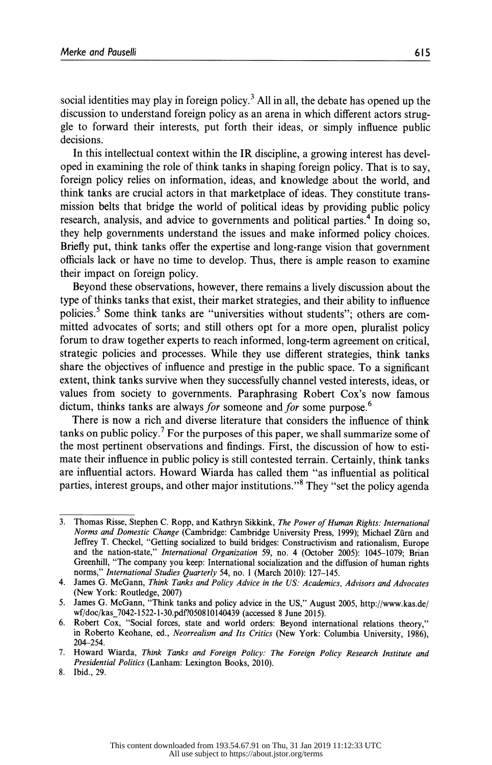social identities may play in foreign policy.<sup>3</sup> All in all, the debate has opened up the discussion to understand foreign policy as an arena in which different actors strug gle to forward their interests, put forth their ideas, or simply influence public decisions.

 In this intellectual context within the IR discipline, a growing interest has devel oped in examining the role of think tanks in shaping foreign policy. That is to say, foreign policy relies on information, ideas, and knowledge about the world, and think tanks are crucial actors in that marketplace of ideas. They constitute trans mission belts that bridge the world of political ideas by providing public policy research, analysis, and advice to governments and political parties.<sup>4</sup> In doing so, they help governments understand the issues and make informed policy choices. Briefly put, think tanks offer the expertise and long-range vision that government officials lack or have no time to develop. Thus, there is ample reason to examine their impact on foreign policy.

 Beyond these observations, however, there remains a lively discussion about the type of thinks tanks that exist, their market strategies, and their ability to influence policies.5 Some think tanks are "universities without students"; others are com mitted advocates of sorts; and still others opt for a more open, pluralist policy forum to draw together experts to reach informed, long-term agreement on critical, strategic policies and processes. While they use different strategies, think tanks share the objectives of influence and prestige in the public space. To a significant extent, think tanks survive when they successfully channel vested interests, ideas, or values from society to governments. Paraphrasing Robert Cox's now famous dictum, thinks tanks are always for someone and for some purpose.<sup>6</sup>

 There is now a rich and diverse literature that considers the influence of think tanks on public policy.<sup>7</sup> For the purposes of this paper, we shall summarize some of the most pertinent observations and findings. First, the discussion of how to esti mate their influence in public policy is still contested terrain. Certainly, think tanks are influential actors. Howard Wiarda has called them "as influential as political parties, interest groups, and other major institutions."8 They "set the policy agenda

<sup>3.</sup> Thomas Risse, Stephen C. Ropp, and Kathryn Sikkink, The Power of Human Rights: International Norms and Domestic Change (Cambridge: Cambridge University Press, 1999); Michael Zürn and Jeffrey T. Checkel, "Getting socialized to build bridges: Constructivism and rationalism, Europe and the nation-state," International Organization 59, no. 4 (October 2005): 1045-1079; Brian Greenhill, "The company you keep: International socialization and the diffusion of human rights norms," International Studies Quarterly 54, no. 1 (March 2010): 127-145.

<sup>4.</sup> James G. McGann, Think Tanks and Policy Advice in the US: Academics, Advisors and Advocates (New York: Routledge, 2007)

 <sup>5.</sup> James G. McGann, "Think tanks and policy advice in the US," August 2005, http://www.kas.de/ wf/doc/kas\_7042-1522-l-30.pdf?050810140439 (accessed 8 June 2015).

 <sup>6.</sup> Robert Cox, "Social forces, state and world orders: Beyond international relations theory," in Roberto Keohane, ed., Neorrealism and Its Critics (New York: Columbia University, 1986), 204-254.

 <sup>7.</sup> Howard Wiarda, Think Tanks and Foreign Policy: The Foreign Policy Research Institute and Presidential Politics (Lanham: Lexington Books, 2010).

 <sup>8.</sup> Ibid., 29.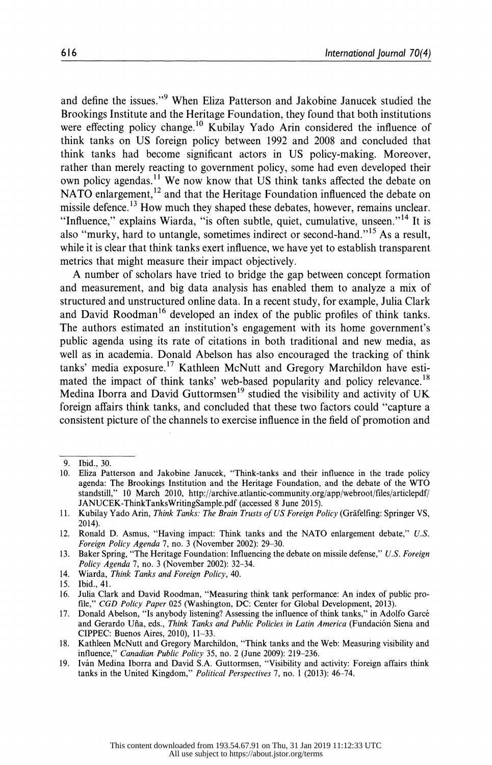and define the issues."9 When Eliza Patterson and Jakobine Janucek studied the Brookings Institute and the Heritage Foundation, they found that both institutions were effecting policy change.<sup>10</sup> Kubilay Yado Arin considered the influence of think tanks on US foreign policy between 1992 and 2008 and concluded that think tanks had become significant actors in US policy-making. Moreover, rather than merely reacting to government policy, some had even developed their own policy agendas.<sup>11</sup> We now know that US think tanks affected the debate on NATO enlargement,<sup>12</sup> and that the Heritage Foundation influenced the debate on missile defence.<sup>13</sup> How much they shaped these debates, however, remains unclear. "Influence," explains Wiarda, "is often subtle, quiet, cumulative, unseen."14 It is also "murky, hard to untangle, sometimes indirect or second-hand."15 As a result, while it is clear that think tanks exert influence, we have yet to establish transparent metrics that might measure their impact objectively.

 A number of scholars have tried to bridge the gap between concept formation and measurement, and big data analysis has enabled them to analyze a mix of structured and unstructured online data. In a recent study, for example, Julia Clark and David Roodman<sup>16</sup> developed an index of the public profiles of think tanks. The authors estimated an institution's engagement with its home government's public agenda using its rate of citations in both traditional and new media, as well as in academia. Donald Abelson has also encouraged the tracking of think tanks' media exposure.17 Kathleen McNutt and Gregory Marchildon have esti mated the impact of think tanks' web-based popularity and policy relevance.<sup>18</sup> Medina Iborra and David Guttormsen<sup>19</sup> studied the visibility and activity of UK foreign affairs think tanks, and concluded that these two factors could "capture a consistent picture of the channels to exercise influence in the field of promotion and

14. Wiarda, Think Tanks and Foreign Policy, 40.

 19. Ivân Medina Iborra and David S.A. Guttormsen, "Visibility and activity: Foreign affairs think tanks in the United Kingdom," Political Perspectives 7, no. 1 (2013): 46-74.

 <sup>9.</sup> Ibid., 30.

 <sup>10.</sup> Eliza Patterson and Jakobine Janucek, "Think-tanks and their influence in the trade policy agenda: The Brookings Institution and the Heritage Foundation, and the debate of the WTO standstill," 10 March 2010, http://archive.atlantic-community.org/app/webroot/files/articlepdf/ JANUCEK-ThinkTanksWritingSample.pdf (accessed 8 June 2015).

 <sup>11.</sup> Kubilay Yado Arin, Think Tanks: The Brain Trusts of US Foreign Policy (Gräfelfing: Springer VS, 2014).

 <sup>12.</sup> Ronald D. Asmus, "Having impact: Think tanks and the NATO enlargement debate," U.S. Foreign Policy Agenda 7, no. 3 (November 2002): 29-30.

<sup>13.</sup> Baker Spring, "The Heritage Foundation: Influencing the debate on missile defense," U.S. Foreign Policy Agenda 7, no. 3 (November 2002): 32-34.

 <sup>15.</sup> Ibid., 41.

 <sup>16.</sup> Julia Clark and David Roodman, "Measuring think tank performance: An index of public pro file," CGD Policy Paper 025 (Washington, DC: Center for Global Development, 2013).

 <sup>17.</sup> Donald Abelson, "Is anybody listening? Assessing the influence of think tanks," in Adolfo Garcé and Gerardo Uña, eds., Think Tanks and Public Policies in Latin America (Fundación Siena and CIPPEC: Buenos Aires, 2010), 11-33.

 <sup>18.</sup> Kathleen McNutt and Gregory Marchildon, "Think tanks and the Web: Measuring visibility and influence," Canadian Public Policy 35, no. 2 (June 2009): 219-236.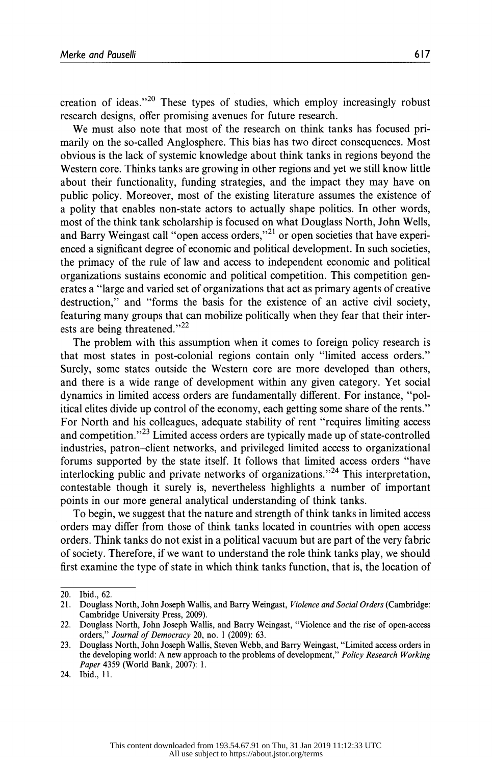creation of ideas."<sup>20</sup> These types of studies, which employ increasingly robust research designs, offer promising avenues for future research.

 We must also note that most of the research on think tanks has focused pri marily on the so-called Anglosphere. This bias has two direct consequences. Most obvious is the lack of systemic knowledge about think tanks in regions beyond the Western core. Thinks tanks are growing in other regions and yet we still know little about their functionality, funding strategies, and the impact they may have on public policy. Moreover, most of the existing literature assumes the existence of a polity that enables non-state actors to actually shape politics. In other words, most of the think tank scholarship is focused on what Douglass North, John Wells, and Barry Weingast call "open access orders,"<sup>21</sup> or open societies that have experi enced a significant degree of economic and political development. In such societies, the primacy of the rule of law and access to independent economic and political organizations sustains economic and political competition. This competition gen erates a "large and varied set of organizations that act as primary agents of creative destruction," and "forms the basis for the existence of an active civil society, featuring many groups that can mobilize politically when they fear that their inter ests are being threatened."<sup>22</sup>

 The problem with this assumption when it comes to foreign policy research is that most states in post-colonial regions contain only "limited access orders." Surely, some states outside the Western core are more developed than others, and there is a wide range of development within any given category. Yet social dynamics in limited access orders are fundamentally different. For instance, "pol itical elites divide up control of the economy, each getting some share of the rents." For North and his colleagues, adequate stability of rent "requires limiting access and competition."23 Limited access orders are typically made up of state-controlled industries, patron-client networks, and privileged limited access to organizational forums supported by the state itself. It follows that limited access orders "have interlocking public and private networks of organizations."24 This interpretation, contestable though it surely is, nevertheless highlights a number of important points in our more general analytical understanding of think tanks.

 To begin, we suggest that the nature and strength of think tanks in limited access orders may differ from those of think tanks located in countries with open access orders. Think tanks do not exist in a political vacuum but are part of the very fabric of society. Therefore, if we want to understand the role think tanks play, we should first examine the type of state in which think tanks function, that is, the location of

 <sup>20.</sup> Ibid., 62.

<sup>21.</sup> Douglass North, John Joseph Wallis, and Barry Weingast, Violence and Social Orders (Cambridge: Cambridge University Press, 2009).

 <sup>22.</sup> Douglass North, John Joseph Wallis, and Barry Weingast, "Violence and the rise of open-access orders," Journal of Democracy 20, no. 1 (2009): 63.

 <sup>23.</sup> Douglass North, John Joseph Wallis, Steven Webb, and Barry Weingast, "Limited access orders in the developing world: A new approach to the problems of development," Policy Research Working Paper 4359 (World Bank, 2007): 1.

 <sup>24.</sup> Ibid., 11.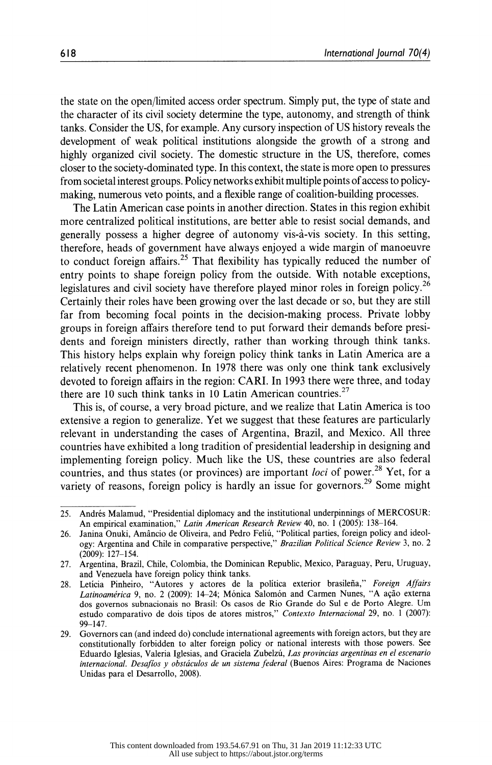the state on the open/limited access order spectrum. Simply put, the type of state and the character of its civil society determine the type, autonomy, and strength of think tanks. Consider the US, for example. Any cursory inspection of US history reveals the development of weak political institutions alongside the growth of a strong and highly organized civil society. The domestic structure in the US, therefore, comes closer to the society-dominated type. In this context, the state is more open to pressures from societal interest groups. Policy networks exhibit multiple points of access to policy making, numerous veto points, and a flexible range of coalition-building processes.

 The Latin American case points in another direction. States in this region exhibit more centralized political institutions, are better able to resist social demands, and generally possess a higher degree of autonomy vis-à-vis society. In this setting, therefore, heads of government have always enjoyed a wide margin of manoeuvre to conduct foreign affairs.25 That flexibility has typically reduced the number of entry points to shape foreign policy from the outside. With notable exceptions, legislatures and civil society have therefore played minor roles in foreign policy.<sup>26</sup> Certainly their roles have been growing over the last decade or so, but they are still far from becoming focal points in the decision-making process. Private lobby groups in foreign affairs therefore tend to put forward their demands before presi dents and foreign ministers directly, rather than working through think tanks. This history helps explain why foreign policy think tanks in Latin America are a relatively recent phenomenon. In 1978 there was only one think tank exclusively devoted to foreign affairs in the region: CARI. In 1993 there were three, and today there are 10 such think tanks in 10 Latin American countries.<sup>27</sup>

 This is, of course, a very broad picture, and we realize that Latin America is too extensive a region to generalize. Yet we suggest that these features are particularly relevant in understanding the cases of Argentina, Brazil, and Mexico. All three countries have exhibited a long tradition of presidential leadership in designing and implementing foreign policy. Much like the US, these countries are also federal countries, and thus states (or provinces) are important *loci* of power.<sup>28</sup> Yet, for a variety of reasons, foreign policy is hardly an issue for governors.<sup>29</sup> Some might

 <sup>25.</sup> Andrés Malamud, "Presidential diplomacy and the institutional underpinnings of MERCOSUR: An empirical examination," Latin American Research Review 40, no. 1 (2005): 138-164.

 <sup>26.</sup> Janina Onuki, Amâncio de Oliveira, and Pedro Feliü, "Political parties, foreign policy and ideol ogy: Argentina and Chile in comparative perspective," Brazilian Political Science Review 3, no. 2 (2009): 127-154.

 <sup>27.</sup> Argentina, Brazil, Chile, Colombia, the Dominican Republic, Mexico, Paraguay, Peru, Uruguay, and Venezuela have foreign policy think tanks.

<sup>28.</sup> Letícia Pinheiro, "Autores y actores de la política exterior brasileña," Foreign Affairs Latinoamérica 9, no. 2 (2009): 14-24; Mónica Salomón and Carmen Nunes, "A ação externa dos governos subnacionais no Brasil: Os casos de Rio Grande do Sul e de Porto Alegre. Um estudo comparativo de dois tipos de atores mistros," Contexto Internacional 29, no. 1 (2007): 99-147.

 <sup>29.</sup> Governors can (and indeed do) conclude international agreements with foreign actors, but they are constitutionally forbidden to alter foreign policy or national interests with those powers. See Eduardo Iglesias, Valeria Iglesias, and Graciela Zubelzü, Las provincias argentinas en el escenario internacional. Desafíos y obstáculos de un sistema federal (Buenos Aires: Programa de Naciones Unidas para el Desarrollo, 2008).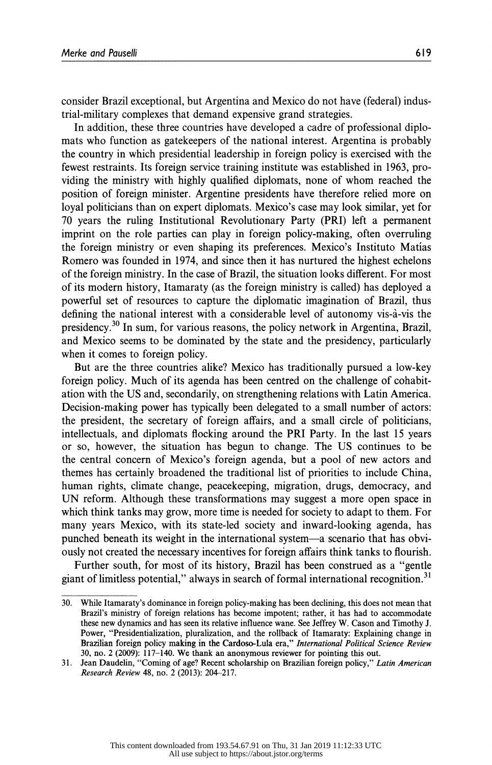consider Brazil exceptional, but Argentina and Mexico do not have (federal) indus trial-military complexes that demand expensive grand strategies.

 In addition, these three countries have developed a cadre of professional diplo mats who function as gatekeepers of the national interest. Argentina is probably the country in which presidential leadership in foreign policy is exercised with the fewest restraints. Its foreign service training institute was established in 1963, pro viding the ministry with highly qualified diplomats, none of whom reached the position of foreign minister. Argentine presidents have therefore relied more on loyal politicians than on expert diplomats. Mexico's case may look similar, yet for 70 years the ruling Institutional Revolutionary Party (PRI) left a permanent imprint on the role parties can play in foreign policy-making, often overruling the foreign ministry or even shaping its preferences. Mexico's Instituto Matias Romero was founded in 1974, and since then it has nurtured the highest echelons of the foreign ministry. In the case of Brazil, the situation looks different. For most of its modern history, Itamaraty (as the foreign ministry is called) has deployed a powerful set of resources to capture the diplomatic imagination of Brazil, thus defining the national interest with a considerable level of autonomy vis-à-vis the presidency.30 In sum, for various reasons, the policy network in Argentina, Brazil, and Mexico seems to be dominated by the state and the presidency, particularly when it comes to foreign policy.

 But are the three countries alike? Mexico has traditionally pursued a low-key foreign policy. Much of its agenda has been centred on the challenge of cohabit ation with the US and, secondarily, on strengthening relations with Latin America. Decision-making power has typically been delegated to a small number of actors: the president, the secretary of foreign affairs, and a small circle of politicians, intellectuals, and diplomats flocking around the PRI Party. In the last 15 years or so, however, the situation has begun to change. The US continues to be the central concern of Mexico's foreign agenda, but a pool of new actors and themes has certainly broadened the traditional list of priorities to include China, human rights, climate change, peacekeeping, migration, drugs, democracy, and UN reform. Although these transformations may suggest a more open space in which think tanks may grow, more time is needed for society to adapt to them. For many years Mexico, with its state-led society and inward-looking agenda, has punched beneath its weight in the international system—a scenario that has obvi ously not created the necessary incentives for foreign affairs think tanks to flourish.

 Further south, for most of its history, Brazil has been construed as a "gentle giant of limitless potential," always in search of formal international recognition.<sup>31</sup>

 <sup>30.</sup> While Itamaraty's dominance in foreign policy-making has been declining, this does not mean that Brazil's ministry of foreign relations has become impotent; rather, it has had to accommodate these new dynamics and has seen its relative influence wane. See Jeffrey W. Cason and Timothy J. Power, "Presidentialization, pluralization, and the rollback of Itamaraty: Explaining change in Brazilian foreign policy making in the Cardoso-Lula era," International Political Science Review 30, no. 2 (2009): 117-140. We thank an anonymous reviewer for pointing this out.

 <sup>31.</sup> Jean Daudelin, "Coming of age? Recent scholarship on Brazilian foreign policy," Latin American Research Review 48, no. 2 (2013): 204-217.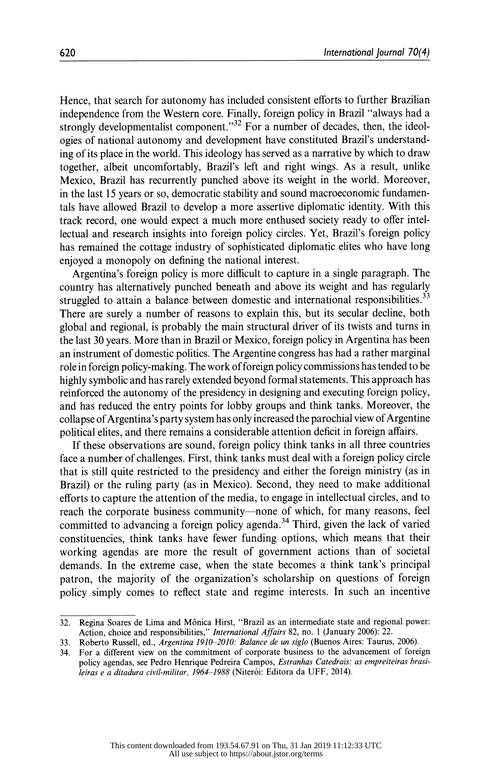Hence, that search for autonomy has included consistent efforts to further Brazilian independence from the Western core. Finally, foreign policy in Brazil "always had a strongly developmentalist component."<sup>32</sup> For a number of decades, then, the ideol ogies of national autonomy and development have constituted Brazil's understand ing of its place in the world. This ideology has served as a narrative by which to draw together, albeit uncomfortably, Brazil's left and right wings. As a result, unlike Mexico, Brazil has recurrently punched above its weight in the world. Moreover, in the last 15 years or so, democratic stability and sound macroeconomic fundamen tals have allowed Brazil to develop a more assertive diplomatic identity. With this track record, one would expect a much more enthused society ready to offer intel lectual and research insights into foreign policy circles. Yet, Brazil's foreign policy has remained the cottage industry of sophisticated diplomatic elites who have long enjoyed a monopoly on defining the national interest.

 Argentina's foreign policy is more difficult to capture in a single paragraph. The country has alternatively punched beneath and above its weight and has regularly struggled to attain a balance between domestic and international responsibilities.<sup>33</sup> There are surely a number of reasons to explain this, but its secular decline, both global and regional, is probably the main structural driver of its twists and turns in the last 30 years. More than in Brazil or Mexico, foreign policy in Argentina has been an instrument of domestic politics. The Argentine congress has had a rather marginal role in foreign policy-making. The work of foreign policy commissions has tended to be highly symbolic and has rarely extended beyond formal statements. This approach has reinforced the autonomy of the presidency in designing and executing foreign policy, and has reduced the entry points for lobby groups and think tanks. Moreover, the collapse of Argentina's party system has only increased the parochial view of Argentine political elites, and there remains a considerable attention deficit in foreign affairs.

 If these observations are sound, foreign policy think tanks in all three countries face a number of challenges. First, think tanks must deal with a foreign policy circle that is still quite restricted to the presidency and either the foreign ministry (as in Brazil) or the ruling party (as in Mexico). Second, they need to make additional efforts to capture the attention of the media, to engage in intellectual circles, and to reach the corporate business community—none of which, for many reasons, feel committed to advancing a foreign policy agenda.<sup>34</sup> Third, given the lack of varied constituencies, think tanks have fewer funding options, which means that their working agendas are more the result of government actions than of societal demands. In the extreme case, when the state becomes a think tank's principal patron, the majority of the organization's scholarship on questions of foreign policy simply comes to reflect state and regime interests. In such an incentive

 <sup>32.</sup> Regina Soares de Lima and Monica Hirst, "Brazil as an intermediate state and regional power: Action, choice and responsibilities," *International Affairs* 82, no. 1 (January 2006): 22.

 <sup>33.</sup> Roberto Russell, ed., Argentina 1910-2010: Balance de un siglo (Buenos Aires: Taurus, 2006).

 <sup>34.</sup> For a different view on the commitment of corporate business to the advancement of foreign policy agendas, see Pedro Henrique Pedreira Campos, Estranhas Catedrais: as empreiteiras brasileiras e a ditadura civil-militar, 1964-1988 (Niterôi: Editora da UFF, 2014).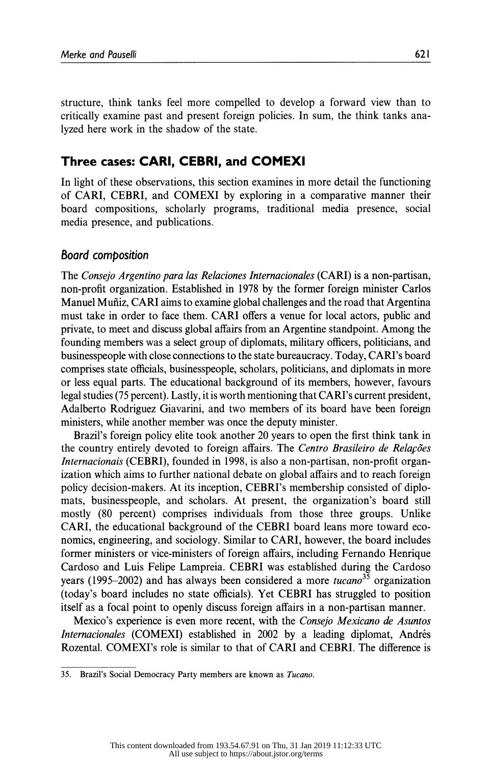structure, think tanks feel more compelled to develop a forward view than to critically examine past and present foreign policies. In sum, the think tanks ana lyzed here work in the shadow of the state.

## Three cases: CARI, CEBRI, and COMEXI

 In light of these observations, this section examines in more detail the functioning of CARI, CEBRI, and COMEXI by exploring in a comparative manner their board compositions, scholarly programs, traditional media presence, social media presence, and publications.

### Board composition

 The Consejo Argentino para las Relaciones Internationales (CARI) is a non-partisan, non-profit organization. Established in 1978 by the former foreign minister Carlos Manuel Muniz, CARI aims to examine global challenges and the road that Argentina must take in order to face them. CARI offers a venue for local actors, public and private, to meet and discuss global affairs from an Argentine standpoint. Among the founding members was a select group of diplomats, military officers, politicians, and businesspeople with close connections to the state bureaucracy. Today, CARI's board comprises state officials, businesspeople, scholars, politicians, and diplomats in more or less equal parts. The educational background of its members, however, favours legal studies (75 percent). Lastly, it is worth mentioning that CARI's current president, Adalberto Rodriguez Giavarini, and two members of its board have been foreign ministers, while another member was once the deputy minister.

 Brazil's foreign policy elite took another 20 years to open the first think tank in the country entirely devoted to foreign affairs. The Centro Brasileiro de Relaçôes Internacionais (CEBRI), founded in 1998, is also a non-partisan, non-profit organ ization which aims to further national debate on global affairs and to reach foreign policy decision-makers. At its inception, CEBRI's membership consisted of diplo mats, businesspeople, and scholars. At present, the organization's board still mostly (80 percent) comprises individuals from those three groups. Unlike CARI, the educational background of the CEBRI board leans more toward eco nomics, engineering, and sociology. Similar to CARI, however, the board includes former ministers or vice-ministers of foreign affairs, including Fernando Henrique Cardoso and Luis Felipe Lampreia. CEBRI was established during the Cardoso years (1995–2002) and has always been considered a more *tucano*<sup>35</sup> organization (today's board includes no state officials). Yet CEBRI has struggled to position itself as a focal point to openly discuss foreign affairs in a non-partisan manner.

 Mexico's experience is even more recent, with the Consejo Mexicano de Asuntos Internacionales (COMEXI) established in 2002 by a leading diplomat, Andrés Rozental. COMEXI's role is similar to that of CARI and CEBRI. The difference is

 <sup>35.</sup> Brazil's Social Democracy Party members are known as Tucano.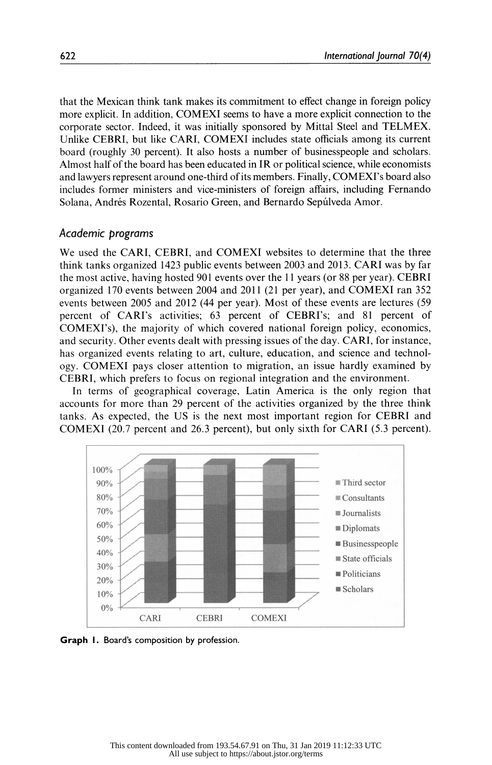that the Mexican think tank makes its commitment to effect change in foreign policy more explicit. In addition, COMEXI seems to have a more explicit connection to the corporate sector. Indeed, it was initially sponsored by Mittal Steel and TELMEX. Unlike CEBRI, but like CARI, COMEXI includes state officials among its current board (roughly 30 percent). It also hosts a number of businesspeople and scholars. Almost half of the board has been educated in IR or political science, while economists and lawyers represent around one-third of its members. Finally, COMEXI's board also includes former ministers and vice-ministers of foreign affairs, including Fernando Solana, Andrés Rozental, Rosario Green, and Bernardo Sepúlveda Amor.

#### Academic programs

 We used the CARI, CEBRI, and COMEXI websites to determine that the three think tanks organized 1423 public events between 2003 and 2013. CARI was by far the most active, having hosted 901 events over the 11 years (or 88 per year). CEBRI organized 170 events between 2004 and 2011 (21 per year), and COMEXI ran 352 events between 2005 and 2012 (44 per year). Most of these events are lectures (59 percent of CARI's activities; 63 percent of CEBRI's; and 81 percent of COMEXI's), the majority of which covered national foreign policy, economics, and security. Other events dealt with pressing issues of the day. CARI, for instance, has organized events relating to art, culture, education, and science and technol ogy. COMEXI pays closer attention to migration, an issue hardly examined by CEBRI, which prefers to focus on regional integration and the environment.

 In terms of geographical coverage, Latin America is the only region that accounts for more than 29 percent of the activities organized by the three think tanks. As expected, the US is the next most important region for CEBRI and COMEXI (20.7 percent and 26.3 percent), but only sixth for CARI (5.3 percent).



Graph I. Board's composition by profession.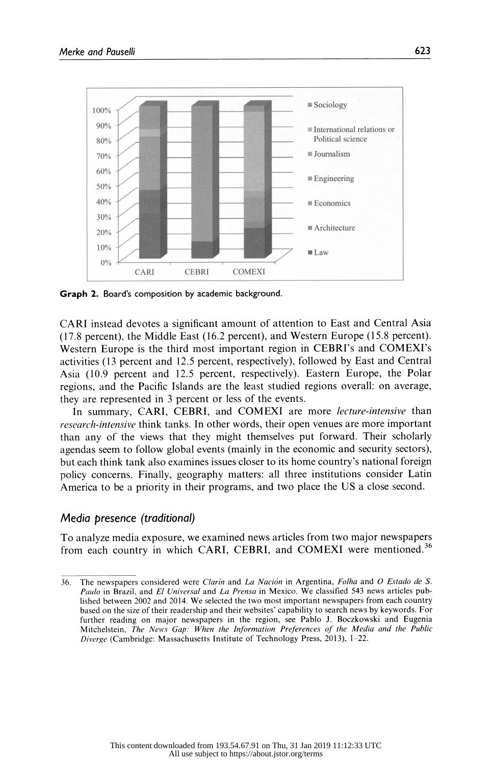

Graph 2. Board's composition by academic background.

 CARI instead devotes a significant amount of attention to East and Central Asia (17.8 percent), the Middle East (16.2 percent), and Western Europe (15.8 percent). Western Europe is the third most important region in CEBRI's and COMEXI's activities (13 percent and 12.5 percent, respectively), followed by East and Central Asia (10.9 percent and 12.5 percent, respectively). Eastern Europe, the Polar regions, and the Pacific Islands are the least studied regions overall: on average, they are represented in 3 percent or less of the events.

In summary, CARI, CEBRI, and COMEXI are more *lecture-intensive* than research-intensive think tanks. In other words, their open venues are more important than any of the views that they might themselves put forward. Their scholarly agendas seem to follow global events (mainly in the economic and security sectors), but each think tank also examines issues closer to its home country's national foreign policy concerns. Finally, geography matters: all three institutions consider Latin America to be a priority in their programs, and two place the US a close second.

#### Media presence (traditional)

 To analyze media exposure, we examined news articles from two major newspapers from each country in which CARI, CEBRI, and COMEXI were mentioned.<sup>36</sup>

<sup>36.</sup> The newspapers considered were Clarin and La Nación in Argentina, Folha and O Estado de S. Paulo in Brazil, and El Universal and La Prensa in Mexico. We classified 543 news articles pub lished between 2002 and 2014. We selected the two most important newspapers from each country based on the size of their readership and their websites' capability to search news by keywords. For further reading on major newspapers in the region, see Pablo J. Boczkowski and Eugenia Mitchelstein, The News Gap: When the Information Preferences of the Media and the Public Diverge (Cambridge: Massachusetts Institute of Technology Press, 2013), 1-22.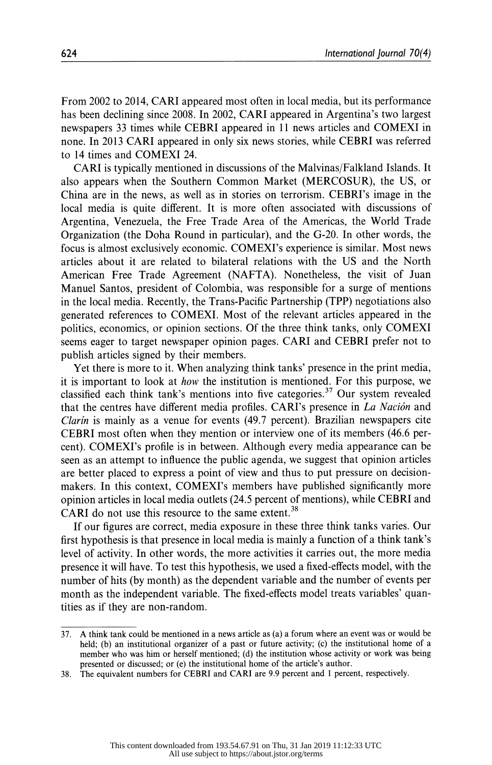From 2002 to 2014, CARI appeared most often in local media, but its performance has been declining since 2008. In 2002, CARI appeared in Argentina's two largest newspapers 33 times while CEBRI appeared in 11 news articles and COMEXI in none. In 2013 CARI appeared in only six news stories, while CEBRI was referred to 14 times and COMEXI 24.

 CARI is typically mentioned in discussions of the Malvinas/Falkland Islands. It also appears when the Southern Common Market (MERCOSUR), the US, or China are in the news, as well as in stories on terrorism. CEBRI's image in the local media is quite different. It is more often associated with discussions of Argentina, Venezuela, the Free Trade Area of the Americas, the World Trade Organization (the Doha Round in particular), and the G-20. In other words, the focus is almost exclusively economic. COMEXI's experience is similar. Most news articles about it are related to bilateral relations with the US and the North American Free Trade Agreement (NAFTA). Nonetheless, the visit of Juan Manuel Santos, president of Colombia, was responsible for a surge of mentions in the local media. Recently, the Trans-Pacific Partnership (TPP) negotiations also generated references to COMEXI. Most of the relevant articles appeared in the politics, economics, or opinion sections. Of the three think tanks, only COMEXI seems eager to target newspaper opinion pages. CARI and CEBRI prefer not to publish articles signed by their members.

 Yet there is more to it. When analyzing think tanks' presence in the print media, it is important to look at *how* the institution is mentioned. For this purpose, we classified each think tank's mentions into five categories.<sup>37</sup> Our system revealed that the centres have different media profiles. CARI's presence in La Nación and Clarin is mainly as a venue for events (49.7 percent). Brazilian newspapers cite CEBRI most often when they mention or interview one of its members (46.6 per cent). COMEXI's profile is in between. Although every media appearance can be seen as an attempt to influence the public agenda, we suggest that opinion articles are better placed to express a point of view and thus to put pressure on decision makers. In this context, COMEXI's members have published significantly more opinion articles in local media outlets (24.5 percent of mentions), while CEBRI and CARI do not use this resource to the same extent. $38$ 

 If our figures are correct, media exposure in these three think tanks varies. Our first hypothesis is that presence in local media is mainly a function of a think tank's level of activity. In other words, the more activities it carries out, the more media presence it will have. To test this hypothesis, we used a fixed-elfects model, with the number of hits (by month) as the dependent variable and the number of events per month as the independent variable. The fixed-effects model treats variables' quan tities as if they are non-random.

 <sup>37.</sup> A think tank could be mentioned in a news article as (a) a forum where an event was or would be held; (b) an institutional organizer of a past or future activity; (c) the institutional home of a member who was him or herself mentioned; (d) the institution whose activity or work was being presented or discussed; or (e) the institutional home of the article's author.

 <sup>38.</sup> The equivalent numbers for CEBRI and CARI are 9.9 percent and 1 percent, respectively.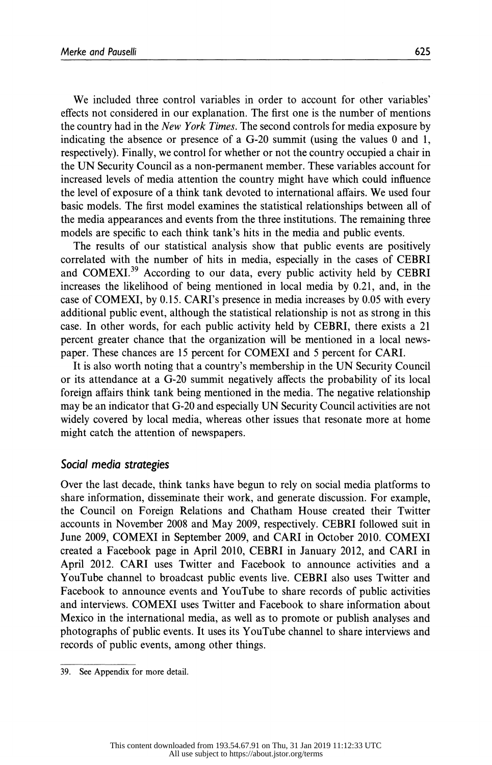We included three control variables in order to account for other variables' effects not considered in our explanation. The first one is the number of mentions the country had in the New York Times. The second controls for media exposure by indicating the absence or presence of a G-20 summit (using the values 0 and 1, respectively). Finally, we control for whether or not the country occupied a chair in the UN Security Council as a non-permanent member. These variables account for increased levels of media attention the country might have which could influence the level of exposure of a think tank devoted to international affairs. We used four basic models. The first model examines the statistical relationships between all of the media appearances and events from the three institutions. The remaining three models are specific to each think tank's hits in the media and public events.

 The results of our statistical analysis show that public events are positively correlated with the number of hits in media, especially in the cases of CEBRI and COMEXI.39 According to our data, every public activity held by CEBRI increases the likelihood of being mentioned in local media by 0.21, and, in the case of COMEXI, by 0.15. CARI's presence in media increases by 0.05 with every additional public event, although the statistical relationship is not as strong in this case. In other words, for each public activity held by CEBRI, there exists a 21 percent greater chance that the organization will be mentioned in a local news paper. These chances are 15 percent for COMEXI and 5 percent for CARI.

 It is also worth noting that a country's membership in the UN Security Council or its attendance at a G-20 summit negatively affects the probability of its local foreign affairs think tank being mentioned in the media. The negative relationship may be an indicator that G-20 and especially UN Security Council activities are not widely covered by local media, whereas other issues that resonate more at home might catch the attention of newspapers.

#### Social media strategies

 Over the last decade, think tanks have begun to rely on social media platforms to share information, disseminate their work, and generate discussion. For example, the Council on Foreign Relations and Chatham House created their Twitter accounts in November 2008 and May 2009, respectively. CEBRI followed suit in June 2009, COMEXI in September 2009, and CARI in October 2010. COMEXI created a Facebook page in April 2010, CEBRI in January 2012, and CARI in April 2012. CARI uses Twitter and Facebook to announce activities and a YouTube channel to broadcast public events live. CEBRI also uses Twitter and Facebook to announce events and YouTube to share records of public activities and interviews. COMEXI uses Twitter and Facebook to share information about Mexico in the international media, as well as to promote or publish analyses and photographs of public events. It uses its YouTube channel to share interviews and records of public events, among other things.

 <sup>39.</sup> See Appendix for more detail.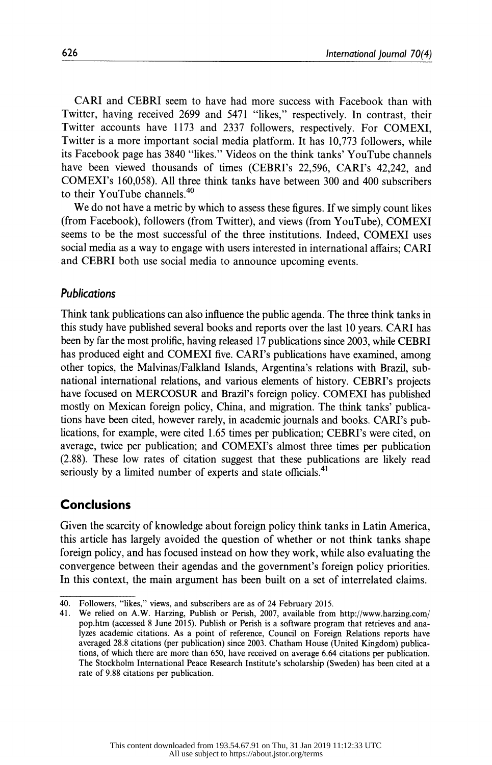CARI and CEBRI seem to have had more success with Facebook than with Twitter, having received 2699 and 5471 "likes," respectively. In contrast, their Twitter accounts have 1173 and 2337 followers, respectively. For COMEXI, Twitter is a more important social media platform. It has 10,773 followers, while its Facebook page has 3840 "likes." Videos on the think tanks' YouTube channels have been viewed thousands of times (CEBRI's 22,596, CARI's 42,242, and COMEXI's 160,058). All three think tanks have between 300 and 400 subscribers to their YouTube channels.40

We do not have a metric by which to assess these figures. If we simply count likes (from Facebook), followers (from Twitter), and views (from YouTube), COMEXI seems to be the most successful of the three institutions. Indeed, COMEXI uses social media as a way to engage with users interested in international affairs; CARI and CEBRI both use social media to announce upcoming events.

#### **Publications**

 Think tank publications can also influence the public agenda. The three think tanks in this study have published several books and reports over the last 10 years. CARI has been by far the most prolific, having released 17 publications since 2003, while CEBRI has produced eight and COMEXI five. CARI's publications have examined, among other topics, the Malvinas/Falkland Islands, Argentina's relations with Brazil, sub national international relations, and various elements of history. CEBRI's projects have focused on MERCOSUR and Brazil's foreign policy. COMEXI has published mostly on Mexican foreign policy, China, and migration. The think tanks' publica tions have been cited, however rarely, in academic journals and books. CARI's pub lications, for example, were cited 1.65 times per publication; CEBRI's were cited, on average, twice per publication; and COMEXI's almost three times per publication (2.88). These low rates of citation suggest that these publications are likely read seriously by a limited number of experts and state officials.<sup>41</sup>

#### Conclusions

 Given the scarcity of knowledge about foreign policy think tanks in Latin America, this article has largely avoided the question of whether or not think tanks shape foreign policy, and has focused instead on how they work, while also evaluating the convergence between their agendas and the government's foreign policy priorities. In this context, the main argument has been built on a set of interrelated claims.

 <sup>40.</sup> Followers, "likes," views, and subscribers are as of 24 February 2015.

 <sup>41.</sup> We relied on A.W. Harzing, Publish or Perish, 2007, available from http://www.harzing.com/ pop.htm (accessed 8 June 2015). Publish or Perish is a software program that retrieves and ana lyzes academic citations. As a point of reference, Council on Foreign Relations reports have averaged 28.8 citations (per publication) since 2003. Chatham House (United Kingdom) publica tions, of which there are more than 650, have received on average 6.64 citations per publication. The Stockholm International Peace Research Institute's scholarship (Sweden) has been cited at a rate of 9.88 citations per publication.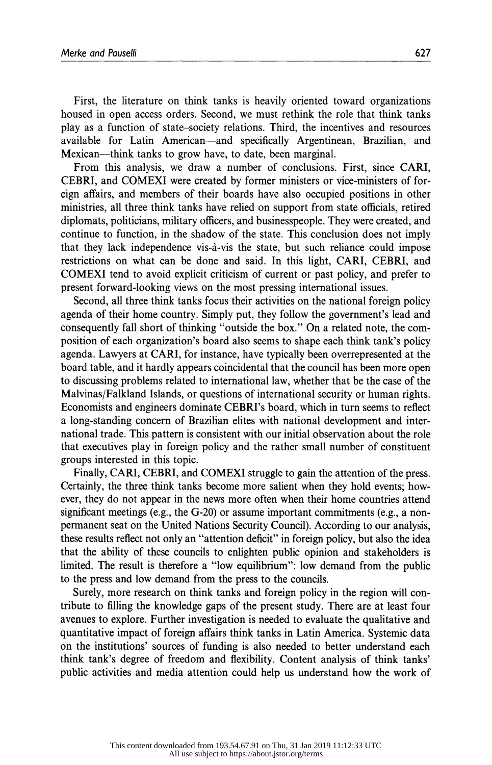First, the literature on think tanks is heavily oriented toward organizations housed in open access orders. Second, we must rethink the role that think tanks play as a function of state-society relations. Third, the incentives and resources available for Latin American—and specifically Argentinean, Brazilian, and Mexican—think tanks to grow have, to date, been marginal.

 From this analysis, we draw a number of conclusions. First, since CARI, CEBRI, and COMEXI were created by former ministers or vice-ministers of for eign affairs, and members of their boards have also occupied positions in other ministries, all three think tanks have relied on support from state officials, retired diplomats, politicians, military officers, and businesspeople. They were created, and continue to function, in the shadow of the state. This conclusion does not imply that they lack independence vis-à-vis the state, but such reliance could impose restrictions on what can be done and said. In this light, CARI, CEBRI, and COMEXI tend to avoid explicit criticism of current or past policy, and prefer to present forward-looking views on the most pressing international issues.

 Second, all three think tanks focus their activities on the national foreign policy agenda of their home country. Simply put, they follow the government's lead and consequently fall short of thinking "outside the box." On a related note, the com position of each organization's board also seems to shape each think tank's policy agenda. Lawyers at CARI, for instance, have typically been overrepresented at the board table, and it hardly appears coincidental that the council has been more open to discussing problems related to international law, whether that be the case of the Malvinas/Falkland Islands, or questions of international security or human rights. Economists and engineers dominate CEBRI's board, which in turn seems to reflect a long-standing concern of Brazilian elites with national development and inter national trade. This pattern is consistent with our initial observation about the role that executives play in foreign policy and the rather small number of constituent groups interested in this topic.

 Finally, CARI, CEBRI, and COMEXI struggle to gain the attention of the press. Certainly, the three think tanks become more salient when they hold events; how ever, they do not appear in the news more often when their home countries attend significant meetings (e.g., the G-20) or assume important commitments (e.g., a non permanent seat on the United Nations Security Council). According to our analysis, these results reflect not only an "attention deficit" in foreign policy, but also the idea that the ability of these councils to enlighten public opinion and stakeholders is limited. The result is therefore a "low equilibrium": low demand from the public to the press and low demand from the press to the councils.

 Surely, more research on think tanks and foreign policy in the region will con tribute to filling the knowledge gaps of the present study. There are at least four avenues to explore. Further investigation is needed to evaluate the qualitative and quantitative impact of foreign affairs think tanks in Latin America. Systemic data on the institutions' sources of funding is also needed to better understand each think tank's degree of freedom and flexibility. Content analysis of think tanks' public activities and media attention could help us understand how the work of